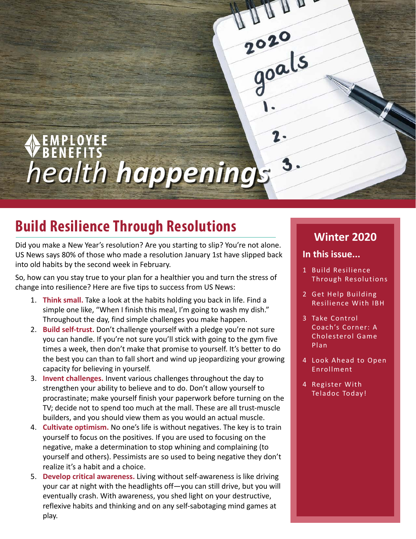EMPLOYEE<br>BENEFITS *health happenings*

# **Build Resilience Through Resolutions**

Did you make a New Year's resolution? Are you starting to slip? You're not alone. US News says 80% of those who made a resolution January 1st have slipped back into old habits by the second week in February.

So, how can you stay true to your plan for a healthier you and turn the stress of change into resilience? Here are five tips to success from US News:

- 1. **Think small.** Take a look at the habits holding you back in life. Find a simple one like, "When I finish this meal, I'm going to wash my dish." Throughout the day, find simple challenges you make happen.
- 2. **Build self-trust.** Don't challenge yourself with a pledge you're not sure you can handle. If you're not sure you'll stick with going to the gym five times a week, then don't make that promise to yourself. It's better to do the best you can than to fall short and wind up jeopardizing your growing capacity for believing in yourself.
- 3. **Invent challenges.** Invent various challenges throughout the day to strengthen your ability to believe and to do. Don't allow yourself to procrastinate; make yourself finish your paperwork before turning on the TV; decide not to spend too much at the mall. These are all trust-muscle builders, and you should view them as you would an actual muscle.
- 4. **Cultivate optimism.** No one's life is without negatives. The key is to train yourself to focus on the positives. If you are used to focusing on the negative, make a determination to stop whining and complaining (to yourself and others). Pessimists are so used to being negative they don't realize it's a habit and a choice.
- 5. **Develop critical awareness.** Living without self-awareness is like driving your car at night with the headlights off—you can still drive, but you will eventually crash. With awareness, you shed light on your destructive, reflexive habits and thinking and on any self-sabotaging mind games at play.

## **Winter 2020**

### **In this issue...**

Ann

2020<br>goals

- 1 Build Resilience Through Resolutions
- 2 [Get Help Building](#page-1-0)  [Resilience With IBH](#page-1-0)
- 3 [Take Control](#page-2-0)  [Coach's Corner: A](#page-2-0)  [Cholesterol Game](#page-2-0)  [Plan](#page-2-0)
- 4 [Look Ahead to Open](#page-3-0)  [Enrollment](#page-3-0)

1

4 [Register With](#page-3-0)  [Teladoc Today!](#page-3-0)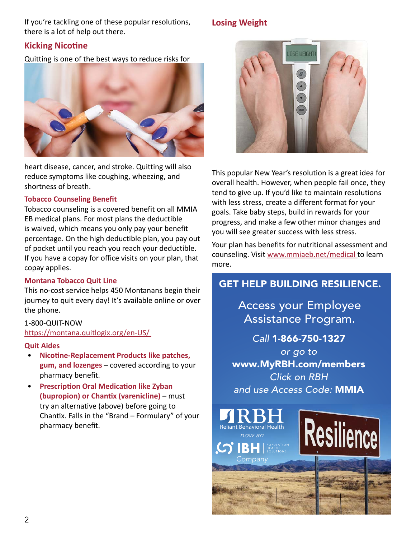<span id="page-1-0"></span>If you're tackling one of these popular resolutions, there is a lot of help out there.

### **Kicking Nicotine**

Quitting is one of the best ways to reduce risks for



heart disease, cancer, and stroke. Quitting will also reduce symptoms like coughing, wheezing, and shortness of breath.

### **Tobacco Counseling Benefit**

Tobacco counseling is a covered benefit on all MMIA EB medical plans. For most plans the deductible is waived, which means you only pay your benefit percentage. On the high deductible plan, you pay out of pocket until you reach you reach your deductible. If you have a copay for office visits on your plan, that copay applies.

### **Montana Tobacco Quit Line**

This no-cost service helps 450 Montanans begin their journey to quit every day! It's available online or over the phone.

### 1-800-QUIT-NOW

[https://montana.quitlogix.org/en-US/](https://montana.quitlogix.org/en-US/ ) 

### **Quit Aides**

- **Nicotine-Replacement Products like patches, gum, and lozenges** – covered according to your pharmacy benefit.
- **Prescription Oral Medication like Zyban (bupropion) or Chantix (varenicline)** – must try an alternative (above) before going to Chantix. Falls in the "Brand – Formulary" of your pharmacy benefit.

### **Losing Weight**



This popular New Year's resolution is a great idea for overall health. However, when people fail once, they tend to give up. If you'd like to maintain resolutions with less stress, create a different format for your goals. Take baby steps, build in rewards for your progress, and make a few other minor changes and you will see greater success with less stress.

Your plan has benefits for nutritional assessment and counseling. Visit [www.mmiaeb.net/medical](https://www.mmiaeb.net/medical ) to learn more.

### GET HELP BUILDING RESILIENCE.

Access your Employee Assistance Program.

*Call* 1-866-750-1327 *or go to*  www.MyRBH.com/members *Click on RBH and use Access Code:* MMIA

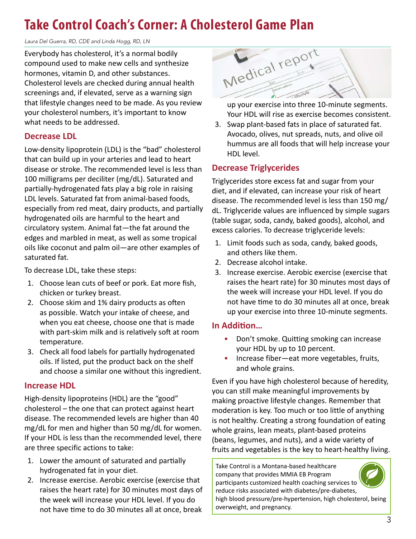# <span id="page-2-0"></span>**Take Control Coach's Corner: A Cholesterol Game Plan**

*Laura Del Guerra, RD, CDE and Linda Hogg, RD, LN*

Everybody has cholesterol, it's a normal bodily compound used to make new cells and synthesize hormones, vitamin D, and other substances. Cholesterol levels are checked during annual health screenings and, if elevated, serve as a warning sign that lifestyle changes need to be made. As you review your cholesterol numbers, it's important to know what needs to be addressed.

### **Decrease LDL**

Low-density lipoprotein (LDL) is the "bad" cholesterol that can build up in your arteries and lead to heart disease or stroke. The recommended level is less than 100 milligrams per deciliter (mg/dL). Saturated and partially-hydrogenated fats play a big role in raising LDL levels. Saturated fat from animal-based foods, especially from red meat, dairy products, and partially hydrogenated oils are harmful to the heart and circulatory system. Animal fat—the fat around the edges and marbled in meat, as well as some tropical oils like coconut and palm oil—are other examples of saturated fat.

To decrease LDL, take these steps:

- 1. Choose lean cuts of beef or pork. Eat more fish, chicken or turkey breast.
- 2. Choose skim and 1% dairy products as often as possible. Watch your intake of cheese, and when you eat cheese, choose one that is made with part-skim milk and is relatively soft at room temperature.
- 3. Check all food labels for partially hydrogenated oils. If listed, put the product back on the shelf and choose a similar one without this ingredient.

### **Increase HDL**

High-density lipoproteins (HDL) are the "good" cholesterol – the one that can protect against heart disease. The recommended levels are higher than 40 mg/dL for men and higher than 50 mg/dL for women. If your HDL is less than the recommended level, there are three specific actions to take:

- 1. Lower the amount of saturated and partially hydrogenated fat in your diet.
- 2. Increase exercise. Aerobic exercise (exercise that raises the heart rate) for 30 minutes most days of the week will increase your HDL level. If you do not have time to do 30 minutes all at once, break



up your exercise into three 10-minute segments. Your HDL will rise as exercise becomes consistent.

3. Swap plant-based fats in place of saturated fat. Avocado, olives, nut spreads, nuts, and olive oil hummus are all foods that will help increase your HDL level.

### **Decrease Triglycerides**

Triglycerides store excess fat and sugar from your diet, and if elevated, can increase your risk of heart disease. The recommended level is less than 150 mg/ dL. Triglyceride values are influenced by simple sugars (table sugar, soda, candy, baked goods), alcohol, and excess calories. To decrease triglyceride levels:

- 1. Limit foods such as soda, candy, baked goods, and others like them.
- 2. Decrease alcohol intake.
- 3. Increase exercise. Aerobic exercise (exercise that raises the heart rate) for 30 minutes most days of the week will increase your HDL level. If you do not have time to do 30 minutes all at once, break up your exercise into three 10-minute segments.

### **In Addition…**

- Don't smoke. Quitting smoking can increase your HDL by up to 10 percent.
- Increase fiber—eat more vegetables, fruits, and whole grains.

Even if you have high cholesterol because of heredity, you can still make meaningful improvements by making proactive lifestyle changes. Remember that moderation is key. Too much or too little of anything is not healthy. Creating a strong foundation of eating whole grains, lean meats, plant-based proteins (beans, legumes, and nuts), and a wide variety of fruits and vegetables is the key to heart-healthy living.

Take Control is a Montana-based healthcare company that provides MMIA EB Program participants customized health coaching services to reduce risks associated with diabetes/pre-diabetes, high blood pressure/pre-hypertension, high cholesterol, being overweight, and pregnancy.